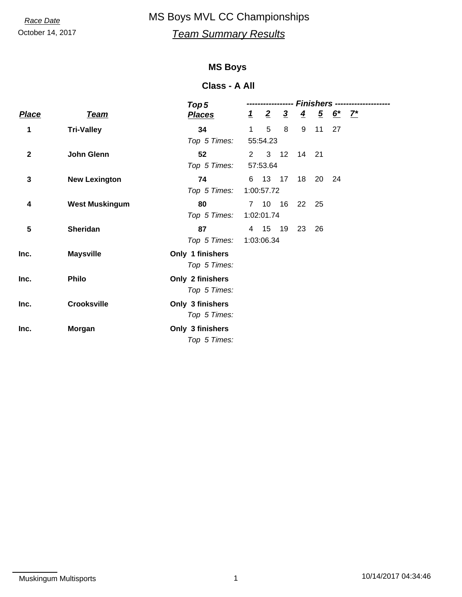# October 14, 2017 *Team Summary Results* **Race Date** MS Boys MVL CC Championships

#### **MS Boys**

#### **Class - A All**

|              |                       | Top 5            | Finishers -- |                |                |                |       |                                               |  |  |
|--------------|-----------------------|------------------|--------------|----------------|----------------|----------------|-------|-----------------------------------------------|--|--|
| <b>Place</b> | <b>Team</b>           | <b>Places</b>    | $\perp$      | $\overline{2}$ | $\overline{3}$ | $\overline{4}$ |       | $\frac{5}{2} \frac{6^{*}}{1} \frac{7^{*}}{1}$ |  |  |
| 1            | <b>Tri-Valley</b>     | 34               | $\mathbf{1}$ | 5              | 8              | 9              | 11    | 27                                            |  |  |
|              |                       | Top 5 Times:     | 55:54.23     |                |                |                |       |                                               |  |  |
| $\mathbf{2}$ | <b>John Glenn</b>     | 52               | $2^{\circ}$  |                | $3 \quad 12$   |                | 14 21 |                                               |  |  |
|              |                       | Top 5 Times:     | 57:53.64     |                |                |                |       |                                               |  |  |
| 3            | <b>New Lexington</b>  | 74               |              | 6 13 17        |                | 18             | 20    | 24                                            |  |  |
|              |                       | Top 5 Times:     | 1:00:57.72   |                |                |                |       |                                               |  |  |
| 4            | <b>West Muskingum</b> | 80               |              | 7 10 16        |                |                | 22 25 |                                               |  |  |
|              |                       | Top 5 Times:     | 1:02:01.74   |                |                |                |       |                                               |  |  |
| 5            | <b>Sheridan</b>       | 87               |              | 4 15 19        |                | 23             | 26    |                                               |  |  |
|              |                       | Top 5 Times:     | 1:03:06.34   |                |                |                |       |                                               |  |  |
| Inc.         | <b>Maysville</b>      | Only 1 finishers |              |                |                |                |       |                                               |  |  |
|              |                       | Top 5 Times:     |              |                |                |                |       |                                               |  |  |
| Inc.         | <b>Philo</b>          | Only 2 finishers |              |                |                |                |       |                                               |  |  |
|              |                       | Top 5 Times:     |              |                |                |                |       |                                               |  |  |
| Inc.         | <b>Crooksville</b>    | Only 3 finishers |              |                |                |                |       |                                               |  |  |
|              |                       | Top 5 Times:     |              |                |                |                |       |                                               |  |  |
| Inc.         | Morgan                | Only 3 finishers |              |                |                |                |       |                                               |  |  |
|              |                       | Top 5 Times:     |              |                |                |                |       |                                               |  |  |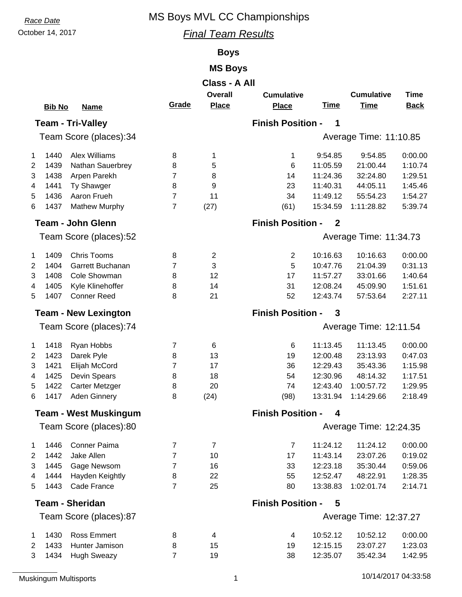# **Race Date** MS Boys MVL CC Championships

# October 14, 2017 *Final Team Results*

### **Boys**

### **MS Boys**

|                        | Class - A All |                              |                |                |                          |              |                        |             |  |  |
|------------------------|---------------|------------------------------|----------------|----------------|--------------------------|--------------|------------------------|-------------|--|--|
|                        |               |                              |                | <b>Overall</b> | <b>Cumulative</b>        |              | <b>Cumulative</b>      | <b>Time</b> |  |  |
|                        | <b>Bib No</b> | <b>Name</b>                  | Grade          | <b>Place</b>   | <b>Place</b>             | <b>Time</b>  | <b>Time</b>            | <b>Back</b> |  |  |
|                        |               | <b>Team - Tri-Valley</b>     |                |                | <b>Finish Position -</b> | 1            |                        |             |  |  |
| Team Score (places):34 |               |                              |                |                |                          |              | Average Time: 11:10.85 |             |  |  |
| $\mathbf{1}$           | 1440          | <b>Alex Williams</b>         | 8              | 1              | 1                        | 9:54.85      | 9:54.85                | 0:00.00     |  |  |
| $\overline{2}$         | 1439          | Nathan Sauerbrey             | 8              | 5              | 6                        | 11:05.59     | 21:00.44               | 1:10.74     |  |  |
| 3                      | 1438          | Arpen Parekh                 | 7              | 8              | 14                       | 11:24.36     | 32:24.80               | 1:29.51     |  |  |
| 4                      | 1441          | Ty Shawger                   | 8              | 9              | 23                       | 11:40.31     | 44:05.11               | 1:45.46     |  |  |
| 5                      | 1436          | Aaron Frueh                  | $\overline{7}$ | 11             | 34                       | 11:49.12     | 55:54.23               | 1:54.27     |  |  |
| 6                      | 1437          | <b>Mathew Murphy</b>         | $\overline{7}$ | (27)           | (61)                     | 15:34.59     | 1:11:28.82             | 5:39.74     |  |  |
|                        |               | <b>Team - John Glenn</b>     |                |                | <b>Finish Position -</b> | $\mathbf{2}$ |                        |             |  |  |
|                        |               | Team Score (places):52       |                |                | Average Time: 11:34.73   |              |                        |             |  |  |
| $\mathbf{1}$           | 1409          | <b>Chris Tooms</b>           | 8              | $\overline{2}$ | $\mathbf{2}$             | 10:16.63     | 10:16.63               | 0:00.00     |  |  |
| 2                      | 1404          | Garrett Buchanan             | 7              | 3              | 5                        | 10:47.76     | 21:04.39               | 0:31.13     |  |  |
| 3                      | 1408          | Cole Showman                 | 8              | 12             | 17                       | 11:57.27     | 33:01.66               | 1:40.64     |  |  |
| 4                      | 1405          | Kyle Klinehoffer             | 8              | 14             | 31                       | 12:08.24     | 45:09.90               | 1:51.61     |  |  |
| 5                      | 1407          | <b>Conner Reed</b>           | 8              | 21             | 52                       | 12:43.74     | 57:53.64               | 2:27.11     |  |  |
|                        |               | <b>Team - New Lexington</b>  |                |                | <b>Finish Position -</b> | 3            |                        |             |  |  |
| Team Score (places):74 |               |                              |                |                |                          |              | Average Time: 12:11.54 |             |  |  |
| $\mathbf{1}$           | 1418          | Ryan Hobbs                   | $\overline{7}$ | 6              | $\,6$                    | 11:13.45     | 11:13.45               | 0:00.00     |  |  |
| $\overline{2}$         | 1423          | Darek Pyle                   | 8              | 13             | 19                       | 12:00.48     | 23:13.93               | 0:47.03     |  |  |
| 3                      | 1421          | Elijah McCord                | 7              | 17             | 36                       | 12:29.43     | 35:43.36               | 1:15.98     |  |  |
| 4                      | 1425          | Devin Spears                 | 8              | 18             | 54                       | 12:30.96     | 48:14.32               | 1:17.51     |  |  |
| 5                      | 1422          | Carter Metzger               | 8              | 20             | 74                       | 12:43.40     | 1:00:57.72             | 1:29.95     |  |  |
| 6                      | 1417          | Aden Ginnery                 | 8              | (24)           | (98)                     | 13:31.94     | 1:14:29.66             | 2:18.49     |  |  |
|                        |               | <b>Team - West Muskingum</b> |                |                | <b>Finish Position -</b> | 4            |                        |             |  |  |
|                        |               | Team Score (places):80       |                |                |                          |              | Average Time: 12:24.35 |             |  |  |
| 1                      | 1446          | <b>Conner Paima</b>          | $\overline{7}$ | $\overline{7}$ | $\overline{7}$           | 11:24.12     | 11:24.12               | 0:00.00     |  |  |
| $\overline{2}$         | 1442          | Jake Allen                   | $\overline{7}$ | 10             | 17                       | 11:43.14     | 23:07.26               | 0:19.02     |  |  |
| 3                      | 1445          | Gage Newsom                  | 7              | 16             | 33                       | 12:23.18     | 35:30.44               | 0:59.06     |  |  |
| 4                      | 1444          | Hayden Keightly              | 8              | 22             | 55                       | 12:52.47     | 48:22.91               | 1:28.35     |  |  |
| 5                      | 1443          | Cade France                  | $\overline{7}$ | 25             | 80                       | 13:38.83     | 1:02:01.74             | 2:14.71     |  |  |
|                        |               | <b>Team - Sheridan</b>       |                |                | <b>Finish Position -</b> | 5            |                        |             |  |  |
|                        |               | Team Score (places):87       |                |                |                          |              | Average Time: 12:37.27 |             |  |  |
| 1                      | 1430          | <b>Ross Emmert</b>           | 8              | 4              | 4                        | 10:52.12     | 10:52.12               | 0:00.00     |  |  |
| $\overline{2}$         | 1433          | Hunter Jamison               | 8              | 15             | 19                       | 12:15.15     | 23:07.27               | 1:23.03     |  |  |
| 3                      | 1434          | <b>Hugh Sweazy</b>           | $\overline{7}$ | 19             | 38                       | 12:35.07     | 35:42.34               | 1:42.95     |  |  |
|                        |               |                              |                |                |                          |              |                        |             |  |  |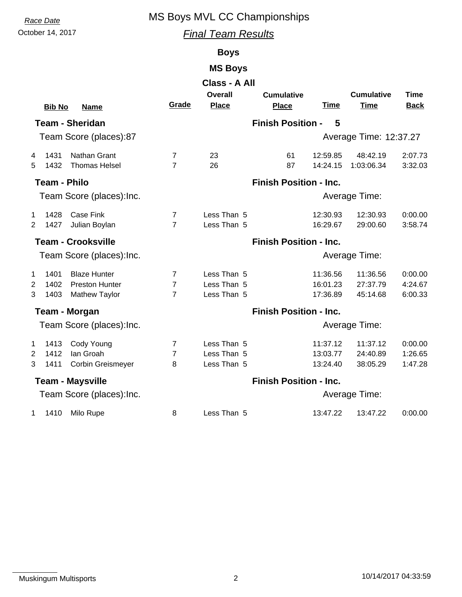**Race Date** MS Boys MVL CC Championships

### October 14, 2017 *Final Team Results*

### **Boys**

#### **MS Boys**

|                           | <b>Bib No</b>          | <b>Name</b>                                                          | Grade                                 | Class - A All<br><b>Overall</b><br><b>Place</b> | <b>Cumulative</b><br><b>Place</b> | <b>Time</b>                      | <b>Cumulative</b><br><b>Time</b> | <b>Time</b><br><b>Back</b>    |  |  |
|---------------------------|------------------------|----------------------------------------------------------------------|---------------------------------------|-------------------------------------------------|-----------------------------------|----------------------------------|----------------------------------|-------------------------------|--|--|
|                           | <b>Team - Sheridan</b> |                                                                      |                                       |                                                 | <b>Finish Position -</b>          | 5                                |                                  |                               |  |  |
|                           |                        | Team Score (places):87                                               |                                       |                                                 |                                   |                                  | Average Time: 12:37.27           |                               |  |  |
| 4<br>5                    | 1431<br>1432           | Nathan Grant<br><b>Thomas Helsel</b>                                 | 7<br>$\overline{7}$                   | 23<br>26                                        | 61<br>87                          | 12:59.85<br>14:24.15             | 48:42.19<br>1:03:06.34           | 2:07.73<br>3:32.03            |  |  |
| <b>Team - Philo</b>       |                        |                                                                      |                                       |                                                 | <b>Finish Position - Inc.</b>     |                                  |                                  |                               |  |  |
|                           |                        | Team Score (places): Inc.                                            |                                       |                                                 | Average Time:                     |                                  |                                  |                               |  |  |
| 1<br>2                    | 1428<br>1427           | <b>Case Fink</b><br>Julian Boylan                                    | 7<br>$\overline{7}$                   | Less Than 5<br>Less Than 5                      |                                   | 12:30.93<br>16:29.67             | 12:30.93<br>29:00.60             | 0:00.00<br>3:58.74            |  |  |
|                           |                        | <b>Team - Crooksville</b>                                            |                                       |                                                 | <b>Finish Position - Inc.</b>     |                                  |                                  |                               |  |  |
| Team Score (places): Inc. |                        |                                                                      |                                       |                                                 |                                   |                                  | Average Time:                    |                               |  |  |
| $\mathbf{1}$<br>2<br>3    | 1401<br>1402<br>1403   | <b>Blaze Hunter</b><br><b>Preston Hunter</b><br><b>Mathew Taylor</b> | 7<br>$\overline{7}$<br>$\overline{7}$ | Less Than 5<br>Less Than 5<br>Less Than 5       |                                   | 11:36.56<br>16:01.23<br>17:36.89 | 11:36.56<br>27:37.79<br>45:14.68 | 0:00.00<br>4:24.67<br>6:00.33 |  |  |
| Team - Morgan             |                        |                                                                      |                                       |                                                 | <b>Finish Position - Inc.</b>     |                                  |                                  |                               |  |  |
|                           |                        | Team Score (places): Inc.                                            |                                       |                                                 |                                   |                                  | Average Time:                    |                               |  |  |
| $\mathbf 1$<br>2<br>3     | 1413<br>1412<br>1411   | Cody Young<br>Ian Groah<br>Corbin Greismeyer                         | $\overline{7}$<br>$\overline{7}$<br>8 | Less Than 5<br>Less Than 5<br>Less Than 5       |                                   | 11:37.12<br>13:03.77<br>13:24.40 | 11:37.12<br>24:40.89<br>38:05.29 | 0:00.00<br>1:26.65<br>1:47.28 |  |  |
| <b>Team - Maysville</b>   |                        |                                                                      |                                       |                                                 | <b>Finish Position - Inc.</b>     |                                  |                                  |                               |  |  |
|                           |                        | Team Score (places): Inc.                                            |                                       |                                                 | Average Time:                     |                                  |                                  |                               |  |  |
| $\mathbf{1}$              | 1410                   | Milo Rupe                                                            | 8                                     | Less Than 5                                     |                                   | 13:47.22                         | 13:47.22                         | 0:00.00                       |  |  |